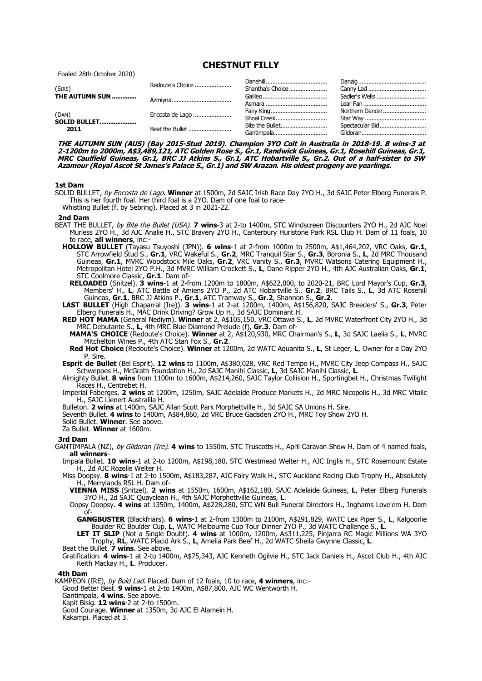**CHESTNUT FILLY**

Foaled 28th October 2020)

| (SIRE)<br>THE AUTUMN SUN      | Redoute's Choice | Shantha's Choice |                 |
|-------------------------------|------------------|------------------|-----------------|
|                               |                  |                  | Sadler's Wells  |
|                               |                  |                  |                 |
| (DAM)<br>SOLID BULLET<br>2011 | Encosta de Lago  | Fairy King       | Northern Dancer |
|                               |                  | Shoal Creek      |                 |
|                               | Beat the Bullet  | Bite the Bullet  | Spectacular Bid |
|                               |                  | Gantimpala       |                 |

**THE AUTUMN SUN (AUS) (Bay 2015-Stud 2019). Champion 3YO Colt in Australia in 2018-19. 8 wins-3 at 2-1200m to 2000m, A\$3,489,121, ATC Golden Rose S., Gr.1, Randwick Guineas, Gr.1, Rosehill Guineas, Gr.1, MRC Caulfield Guineas, Gr.1, BRC JJ Atkins S., Gr.1, ATC Hobartville S., Gr.2. Out of a half-sister to SW Azamour (Royal Ascot St James's Palace S., Gr.1) and SW Arazan. His oldest progeny are yearlings.**

## **1st Dam**

- SOLID BULLET, by Encosta de Lago. **Winner** at 1500m, 2d SAJC Irish Race Day 2YO H., 3d SAJC Peter Elberg Funerals P. This is her fourth foal. Her third foal is a 2YO. Dam of one foal to race-Whistling Bullet (f. by Sebring). Placed at 3 in 2021-22.
- **2nd Dam**
- BEAT THE BULLET, by Bite the Bullet (USA). **7 wins**-3 at 2-to 1400m, STC Windscreen Discounters 2YO H., 2d AJC Noel Murless 2YO H., 3d AJC Analie H., STC Bravery 2YO H., Canterbury Hurlstone Park RSL Club H. Dam of 11 foals, 10 to race, **all winners**, inc:-
	- **HOLLOW BULLET** (Tayasu Tsuyoshi (JPN)). **6 wins**-1 at 2-from 1000m to 2500m, A\$1,464,202, VRC Oaks, **Gr.1**, STC Arrowfield Stud S., **Gr.1**, VRC Wakeful S., **Gr.2**, MRC Tranquil Star S., **Gr.3**, Boronia S., **L**, 2d MRC Thousand Guineas, **Gr.1**, MVRC Woodstock Mile Oaks, **Gr.2**, VRC Vanity S., **Gr.3**, MVRC Watsons Catering Equipment H., Metropolitan Hotel 2YO P.H., 3d MVRC William Crockett S., **L**, Dane Ripper 2YO H., 4th AJC Australian Oaks, **Gr.1**, STC Coolmore Classic, **Gr.1**. Dam of-
	- **RELOADED** (Snitzel). **3 wins**-1 at 2-from 1200m to 1800m, A\$622,000, to 2020-21, BRC Lord Mayor's Cup, **Gr.3**, Members' H., **L**, ATC Battle of Amiens 2YO P., 2d ATC Hobartville S., **Gr.2**, BRC Tails S., **L**, 3d ATC Rosehill Guineas, **Gr.1**, BRC JJ Atkins P., **Gr.1**, ATC Tramway S., **Gr.2**, Shannon S., **Gr.2**.
	- **LAST BULLET** (High Chaparral (Ire)). **3 wins**-1 at 2-at 1200m, 1400m, A\$156,820, SAJC Breeders' S., **Gr.3**, Peter Elberg Funerals H., MAC Drink Driving? Grow Up H., 3d SAJC Dominant H.
	- **RED HOT MAMA** (General Nediym). **Winner** at 2, A\$105,150, VRC Ottawa S., **L**, 2d MVRC Waterfront City 2YO H., 3d MRC Debutante S., **L**, 4th MRC Blue Diamond Prelude (f), **Gr.3**. Dam of-
	- **MAMA'S CHOICE** (Redoute's Choice). **Winner** at 2, A\$120,930, MRC Chairman's S., **L**, 3d SAJC Laelia S., **L**, MVRC Mitchelton Wines P., 4th ATC Stan Fox S., **Gr.2**.
	- **Red Hot Choice** (Redoute's Choice). **Winner** at 1200m, 2d WATC Aquanita S., **L**, St Leger, **L**, Owner for a Day 2YO P. Sire.
	- **Esprit de Bullet** (Bel Esprit). **12 wins** to 1100m, A\$380,028, VRC Red Tempo H., MVRC City Jeep Compass H., SAJC Schweppes H., McGrath Foundation H., 2d SAJC Manihi Classic, **L**, 3d SAJC Manihi Classic, **L**.
	- Almighty Bullet. **8 wins** from 1100m to 1600m, A\$214,260, SAJC Taylor Collision H., Sportingbet H., Christmas Twilight Races H., Centrebet H.
	- Imperial Faberges. **2 wins** at 1200m, 1250m, SAJC Adelaide Produce Markets H., 2d MRC Nicopolis H., 3d MRC Vitalic H., SAJC Lienert Australila H.
	- Bulleton. **2 wins** at 1400m, SAJC Allan Scott Park Morphettville H., 3d SAJC SA Unions H. Sire.

Seventh Bullet. **4 wins** to 1400m, A\$84,860, 2d VRC Bruce Gadsden 2YO H., MRC Toy Show 2YO H.

- Solid Bullet. **Winner**. See above.
- Za Bullet. **Winner** at 1600m.

## **3rd Dam**

GANTIMPALA (NZ), by Gildoran (Ire). **4 wins** to 1550m, STC Truscotts H., April Caravan Show H. Dam of 4 named foals, **all winners**-

Impala Bullet. **10 wins**-1 at 2-to 1200m, A\$198,180, STC Westmead Welter H., AJC Inglis H., STC Rosemount Estate H., 2d AJC Rozelle Welter H.

Miss Doopsy. **8 wins**-1 at 2-to 1500m, A\$183,287, AJC Fairy Walk H., STC Auckland Racing Club Trophy H., Absolutely H., Merrylands RSL H. Dam of-

**VIENNA MISS** (Snitzel). **2 wins** at 1550m, 1600m, A\$162,180, SAJC Adelaide Guineas, **L**, Peter Elberg Funerals 3YO H., 2d SAJC Quayclean H., 4th SAJC Morphettville Guineas, **L**.

Oopsy Doopsy. **4 wins** at 1350m, 1400m, A\$228,280, STC WN Bull Funeral Directors H., Inghams Love'em H. Dam  $of-$ 

**GANGBUSTER** (Blackfriars). **6 wins**-1 at 2-from 1300m to 2100m, A\$291,829, WATC Lex Piper S., **L**, Kalgoorlie Boulder RC Boulder Cup, **L**, WATC Melbourne Cup Tour Dinner 2YO P., 3d WATC Challenge S., **L**.

**LET IT SLIP** (Not a Single Doubt). **4 wins** at 1000m, 1200m, A\$311,225, Pinjarra RC Magic Millions WA 3YO Trophy, **RL**, WATC Placid Ark S., **L**, Amelia Park Beef H., 2d WATC Sheila Gwynne Classic, **L**.

Beat the Bullet. **7 wins**. See above.

Gratification. **4 wins**-1 at 2-to 1400m, A\$75,343, AJC Kenneth Ogilvie H., STC Jack Daniels H., Ascot Club H., 4th AJC Keith Mackay H., **L**. Producer.

## **4th Dam**

KAMPEON (IRE), by Bold Lad. Placed. Dam of 12 foals, 10 to race, **4 winners**, inc:- Good Better Best. **9 wins**-1 at 2-to 1400m, A\$87,800, AJC WC Wentworth H. Gantimpala. **4 wins**. See above. Kapit Bisig. **12 wins**-2 at 2-to 1500m.

Good Courage. **Winner** at 1350m, 3d AJC El Alamein H.

Kakampi. Placed at 3.